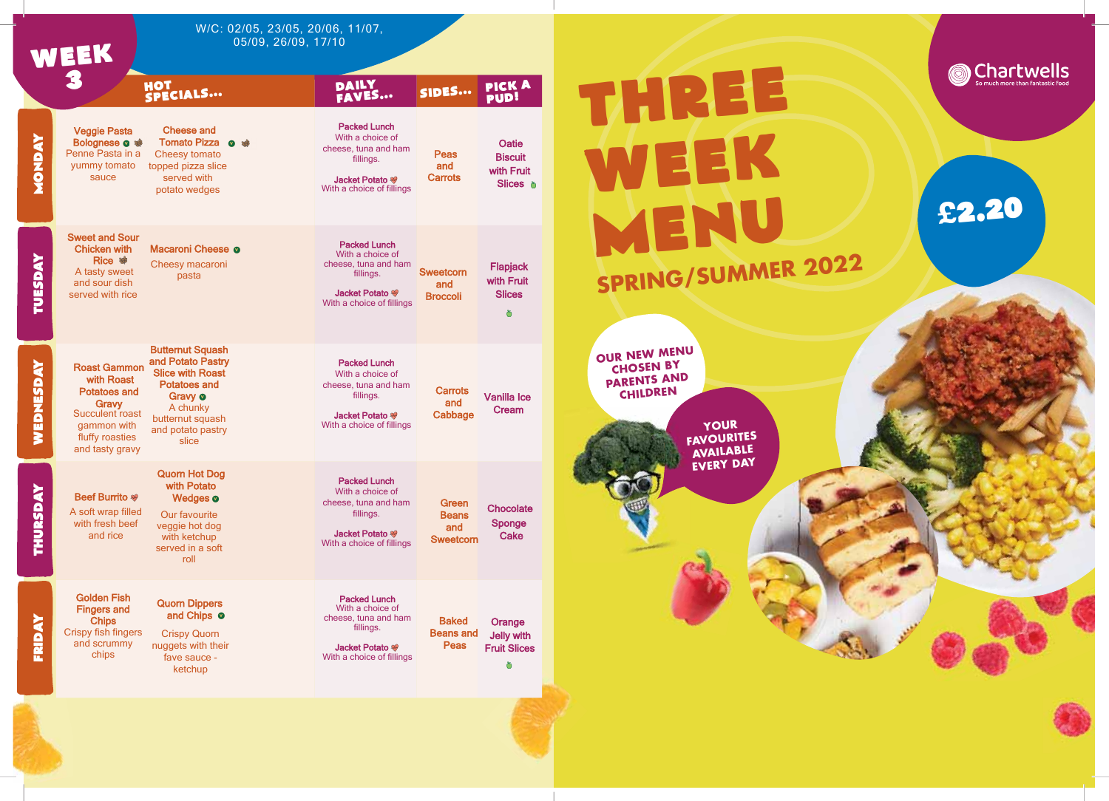